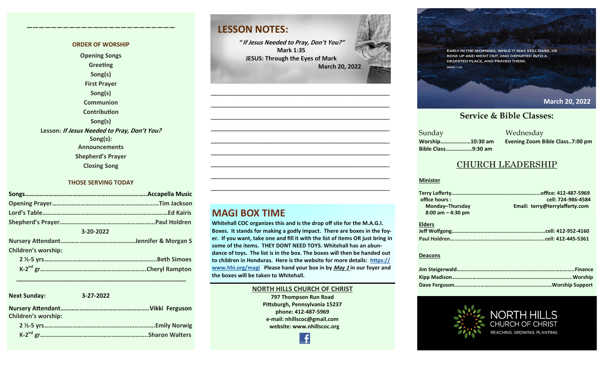#### **ORDER OF WORSHIP Opening Songs Greeting Song(s) First Prayer Song(s) Communion Contribution Song(s) Lesson: If Jesus Needed to Pray, Don't You? Song(s): Announcements**

**————————————–————————————**

**Shepherd's Prayer**

**Closing Song**

#### **THOSE SERVING TODAY**

| 3-20-2022 |                            |  |  |  |
|-----------|----------------------------|--|--|--|
|           |                            |  |  |  |
|           | <b>Children's worship:</b> |  |  |  |
|           |                            |  |  |  |
|           |                            |  |  |  |
|           |                            |  |  |  |

 **\_\_\_\_\_\_\_\_\_\_\_\_\_\_\_\_\_\_\_\_\_\_\_\_\_\_\_\_\_\_\_\_\_\_\_\_\_\_\_\_\_\_\_\_\_\_\_\_\_\_\_**

| <b>Next Sunday:</b>        | $3 - 27 - 2022$ |                        |
|----------------------------|-----------------|------------------------|
| <b>Children's worship:</b> |                 |                        |
|                            |                 |                        |
|                            |                 | <b>Sharon Walters.</b> |

### **LESSON NOTES:**

**" If Jesus Needed to Pray, Don't You?" Mark 1:35 JESUS: Through the Eyes of Mark March 20, 2022**

**—————————————————————————————————————————— —————————————————————————————————————————— —————————————————————————————————————————— —————————————————————————————————————————— —————————————————————————————————————————— —————————————————————————————————————————— —————————————————————————————————————————— —————————————————————————————————————————— ——————————————————————————————————————————**

**MAGI BOX TIME**

**Whitehall COC organizes this and is the drop off site for the M.A.G.I. Boxes. It stands for making a godly impact. There are boxes in the foyer. If you want, take one and fill it with the list of items OR just bring in some of the items. THEY DONT NEED TOYS. Whitehall has an abundance of toys. The list is in the box. The boxes will then be handed out to children in Honduras. Here is the website for more details: [https://](https://www.hhi.org/magi) [www.hhi.org/magi](https://www.hhi.org/magi) Please hand your box in by May 1 in our foyer and the boxes will be taken to Whitehall.** 

### **NORTH HILLS CHURCH OF CHRIST 797 Thompson Run Road Pittsburgh, Pennsylvania 15237 phone: 412-487-5969 e-mail: nhillscoc@gmail.com website: www.nhillscoc.org**



EARLY IN THE MORNING, WHILE IT WAS STILL DARK, HE ROSE UP AND WENT OUT, AND DEPARTED INTO A DESERTED PLACE, AND PRAYED THERE

**January 30, 2022 November 7, 2021**

#### **June 20, 2021 July 18, 2021 October 17, 2021 February 6,2022 March 6, 2022 March 20, 2022February 20, 2022**

**January 14, 2018**

**May 9, 2021**

**May 17, 2020**

**March 7, 2021**

**December 6, 2020** 

#### **September 24, 2017 October 8, 2017 October 15, 2017 October 8, 2017 October 22, 2017 October 29, 2017 November 5, 2017 November 12, 2017 November 26, 2017 December 10, 2017 December 24, 2017 January 7, 2017 January 7, 2017 February 21, 2021 March 2021 <b>Service & Bible Classes:**

**March 18, 2018 January 28, 2018 February 4, 2018 January 21, 2018 Sunday** Sunday Wednesday **Bible Class……………...9:30 am**

**April 22, 2018**

**MARK 1:35** 

**December 29, 2019 February 9, 2020 January 26, 2020 February 23, 2020 March 1, 2020 April 5, 2020 Worship…………………10:30 am Evening Zoom Bible Class..7:00 pm**

**December 17, 2017**

#### CHURCH LEADERSHIP

#### **Minister**

| office hours:        | cell: 724-986-4584             |
|----------------------|--------------------------------|
| Monday-Thursday      | Email: terry@terrylafferty.com |
| $8:00$ am $-4:30$ pm |                                |
|                      |                                |
| <b>Elders</b>        |                                |
|                      |                                |
|                      |                                |

#### **Deacons**